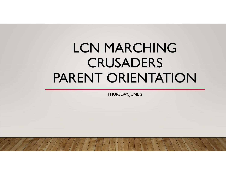# LCN MARCHING **CRUSADERS** LCN MARCHING<br>CRUSADERS<br>PARENT ORIENTATION

THURSDAY, JUNE 2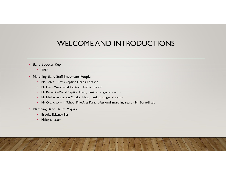# WELCOME AND INTRODUCTIONS **WELCOME AND INTRODUC**<br> **Example 18 And Society**<br> **Example Band Staff Important People**<br>
• Ms. Cates – Brass Caption Head all Season<br>
• Mr. Lee – Woodwind Caption Head all season<br>
• Mr. Berardi – Visual Caption Head, music WELCOME AND INTRODU<br>
Ma Booster Rep<br>
• TBD<br>
• Ms. Cates – Brass Caption Head all Season<br>
• Mr. Lee – Woodwind Caption Head all season<br>
• Mr. Berardi – Visual Caption Head, music arranger all season<br>
• Mr. Meti – Percussion **WELCOME AND INTRODUCTION**<br> **M** Booster Rep<br>
• TBD<br>
• Ms. Cates – Brass Caption Head all Season<br>
• Mr. Lee – Woodwind Caption Head all Season<br>
• Mr. Berardi – Visual Caption Head, music arranger all season<br>
• Mr. Meti – Pe • WELCOME AND INTRODUCTIONS<br>• FBD<br>• Ms. Cates – Brass Caption Head all Season<br>• Ms. Cates – School Med all Season<br>• Mr. Dee – Woodwind Caption Head, music arranger all season<br>• Mr. Petrai – Visual Caption Head, music arran

#### • Band Booster Rep

- TBD
- Marching Band Staff Important People
	-
	-
	- Mr. Berardi –Visual Caption Head, music arranger all season
	-
	-
- Marching Band Drum Majors
	- Brooke Eckenswiller
	- Makayla Nason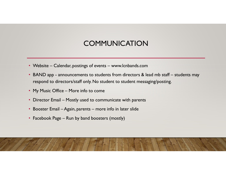#### **COMMUNICATION**

- 
- Website Calendar, postings of events www.lcnbands.com<br>• BAND app announcements to students from directors & lead mb staff students may<br>• respond to directors/staff only. No student to student messaging/posting. • Website – Calendar, postings of events – www.lcnbands.com<br>• BAND app - announcements to students from directors & lead mb staff – students may<br>• respond to directors/staff only. No student to student messaging/posting.<br>• respond to directors/staff only. No student to student messaging/posting. **COMMUNICATION**<br>• Website – Calendar, postings of events – www.lcnbands.com<br>• BAND app - announcements to students from directors & lead mb<br>• respond to directors/staff only. No student to student messaging/po<br>• My Music O • Website – Calendar, postings of events – www.lcnbands.com<br>• BAND app - announcements to students from directors & lead mb staff – stu<br>• respond to directors/staff only. No student to student messaging/posting.<br>• My Music • Website – Calendar, postings of events – www.lcnbands.com<br>• BAND app - announcements to students from directors & lead mb staff – student<br>respond to directors/staff only. No student to student messaging/posting.<br>• My Mus • Website – Calendar, postings of events – www.lcnbands.com<br>• BAND app - announcements to students from directors & lead m<br>• respond to directors/staff only. No student to student messaging/p<br>• My Music Office – More info
- 
- 
- 
-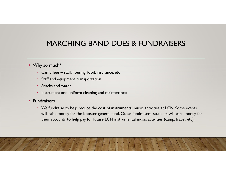# MARCHING BAND DUES & FUNDRAISERS MARCHING BAND DUES & FUNDRA<br>
"Thy so much?"<br>• Camp fees – staff, housing, food, insurance, etc<br>• Staff and equipment transportation<br>• Snacks and water

#### • Why so much?

- 
- Staff and equipment transportation
- Snacks and water
- Instrument and uniform cleaning and maintenance

#### • Fundraisers

• We fundraise to help reduce the cost of instrumental music activities at LCN. Some events will raise money for the booster general fund. Other fundraisers, students will earn money for their accounts to help pay for future LCN instrumental music activities (camp, travel, etc).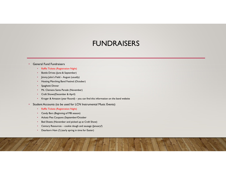# FUNDRAISERS **• FUNDRAISERS**<br>• Raffle Tickets (Registration Night)<br>• Bottle Drives (June & September)<br>• Jimmy John's Field – August (usually)<br>• Hosting Marching Band Festival (October)<br>• Spaghetti Dinner<br>• Mt. Clemens Santa Parade (Nov **• Krown Conducts**<br>• Raffle Tickets (Registration Night)<br>• Brottle Drives (June & September)<br>• Horsing Marching Band Estival (October)<br>• Spaghetti Dinner<br>• Mt. Clemens Santa Parade (November)<br>• Craft Shows(December & April

#### • General Fund Fundraisers

- Raffle Tickets (Registration Night)
- Bottle Drives (June & September)
- 
- 
- 
- Mt. Clemens Santa Parade (November)
- Craft Shows(December & April)
- FUINDINAIDEN<br>
 Raffle Tickets (Registration Night)<br>
 Bottle Drives (June & September)<br>
 Jimmy John's Field August (usually)<br>
 Hosting Marching Band Festival (October)<br>
 Spaghetti Dinner<br>
 Mt. Clemens Santa Parade ( **Fraction Control Century Resources – cookie download and satisfy the cookie download and services (January)**<br>
• Century Policy Resources (January Century Resources)<br>
• Century Resources Control Century Resources<br>
• Centur
- Student Accounts (to be used for LCN Instrumental Music Events)
	- Raffle Tickets (Registration Night)
	- Candy Bars (Beginning of MB season)
	-
	- Bed Sheets (November and picked up at Craft Show)
	-
	-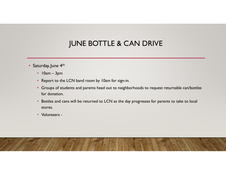# JUNE BOTTLE & CAN DRIVE

- Saturday, June 4<sup>th</sup>
	-
	- Report to the LCN band room by 10am for sign-in.
- JUNE BOTTLE & CAN D<br>
UNE BOTTLE & CAN D<br>
Unday, June 4<sup>th</sup><br>
 10am 3pm<br>
 Report to the LCN band room by 10am for sign-in.<br>
 Groups of students and parents head out to neighborhoods to • Groups of students and parents head out to neighborhoods to request returnable can/bottles for donation.
	- Bottles and cans will be returned to LCN as the day progresses for parents to take to local stores.
	- Volunteers -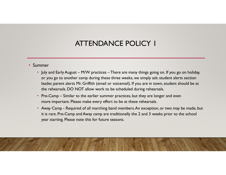#### ATTENDANCE POLICY 1

#### • Summer

- **ATTENDANCE POLICY |**<br>• July and Early August M/W practices There are many things going on. If you go on holiday,<br>• you go to another camp during these three weeks, we simply ask: student alerts section<br>• leader, paren or you go to another camp during these three weeks, we simply ask: student alerts section leader, parent alerts Mr. Griffith (email or voicemail). If you are in town, student should be at the rehearsals. DO NOT allow work to be scheduled during rehearsals. **ATTENDANCE POLICY |**<br>• July and Early August – M/W practices – There are many things going on. If you go on holiday,<br>• or you go to another camp during these three weeks, we simply ask: student alerts section<br>leader, pare **ATTENDANCE POLICY |**<br>
• July and Early August – MW practices – There are many things going on. If you go on holiday,<br>
or you go to another camp during these three weeks, we simply ask: student alerts section<br>
leader, pare **ATTENDANCE POLICY I**<br> **I** July and Early August – M/W practices – There are many things going on. If you go on holiday,<br>
or you go to another camp during these three weeks, we simply ask: student alerts section<br>
leader, p The starting Please note this for the seasons.<br>
We are the starting of the starting of planet and the starting of you go on holiday,<br>
or you go to another camp during these three weeks, we simply ask: student alerts sectio
- 
-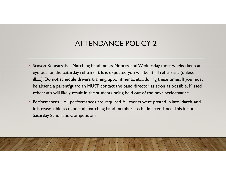# ATTENDANCE POLICY 2

- ATTENDANCE POLICY 2<br>• Season Rehearsals Marching band meets Monday and Wednesday most weeks (keep an<br>• eye out for the Saturday rehearsal). It is expected you will be at all rehearsals (unless<br>• ill.....). Do not schedul **ATTENDANCE POLICY 2**<br>Season Rehearsals – Marching band meets Monday and Wednesday most weeks (keep an<br>eye out for the Saturday rehearsal). It is expected you will be at all rehearsals (unless<br>ill.....). Do not schedule dr ill.....). Do not schedule drivers training, appointments, etc., during these times. If you must be absent, a parent/guardian MUST contact the band director as soon as possible. Missed rehearsals will likely result in the students being held out of the next performance. • Season Rehearsals – Marching band meets Monday and Wednesday most weeks (keep an eye out for the Saturday rehearsal). It is expected you will be at all rehearsals (unless ill.....). Do not schedule drivers training, appo **ATTENDANCE POLIC**<br>Season Rehearsals – Marching band meets Monday and We<br>eye out for the Saturday rehearsal). It is expected you will<br>ill.....). Do not schedule drivers training, appointments, etc.,<br>be absent, a parent/gua
- it is reasonable to expect all marching band members to be in attendance. This includes

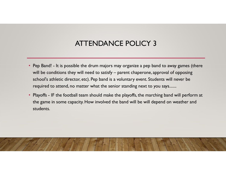# ATTENDANCE POLICY 3

- Pep Band! It is possible the drum majors may organize a pep band to away games (there will be conditions they will need to satisfy parent chaperone, approval of opposing school's athletic director, etc.). Pep band is ATTENDANCE POLICY 3<br>Pep Band! - It is possible the drum majors may organize a pep band to away games (there<br>will be conditions they will need to satisfy – parent chaperone, approval of opposing<br>school's athletic director, school's athletic director, etc). Pep band is a voluntary event. Students will never be required to attend, no matter what the senior standing next to you says....... • Pep Band! - It is possible the drum majors may organize a pep band to away games (there will be conditions they will need to satisfy – parent chaperone, approval of opposing school's athletic director, etc). Pep band is
- the game in some capacity. How involved the band will be will depend on weather and students.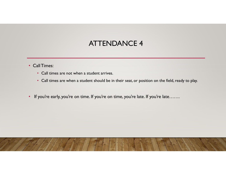### ATTENDANCE 4

- Call Times:
	- Call times are not when a student arrives.
	- Call times are when a student should be in their seat, or position on the field, ready to play.
- If you're early, you're on time. If you're on time, you're late. If you're late.......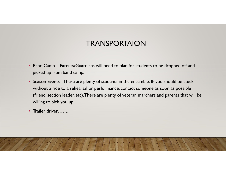#### **TRANSPORTAION**

- Band Camp Parents/Guardians will need to plan for students to be dropped off and picked up from band camp.<br>• Season Events There are plenty of students in the ensemble. IF you should be stuck picked up from band camp.
- FRANSPORTAION<br>• Band Camp Parents/Guardians will need to plan for students to be dropped off and<br>picked up from band camp.<br>• Season Events There are plenty of students in the ensemble. IF you should be stuck<br>without a without a ride to a rehearsal or performance, contact someone as soon as possible (friend, section leader, etc). There are plenty of veteran marchers and parents that will be willing to pick you up!
- Trailer driver…….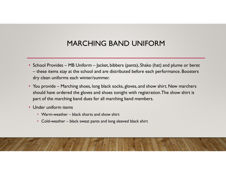### MARCHING BAND UNIFORM

- School Provides MB Uniform Jacket, bibbers (pants), Shako (hat) and plume or beret MARCHING BAND UNIFORM<br>School Provides – MB Uniform – Jacket, bibbers (pants), Shako (hat) and plume or beret<br>– these items stay at the school and are distributed before each performance. Boosters<br>Tou provide – Marching sho dry clean uniforms each winter/summer.
- MARCHING BAND UNIFORM<br>• School Provides MB Uniform Jacket, bibbers (pants), Shako (hat) and plume or beret<br>– these items stay at the school and are distributed before each performance. Boosters<br>dry clean uniforms each should have ordered the gloves and shoes tonight with registration. The show shirt is part of the marching band dues for all marching band members. • MARCHING BAND UNIFORM<br>• hool Provides – MB Uniform – Jacket, bibbers (pants), Shako (hat) at<br>these items stay at the school and are distributed before each perfor<br>y clean uniforms each winter/summer.<br>up provide – Marchin
- Under uniform items
	-
	-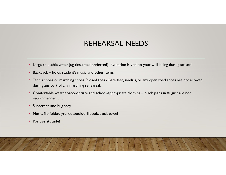#### REHEARSAL NEEDS

- 
- 
- **REHEARSAL NEEDS**<br>
 Large re-usable water jug (insulated preferred)- hydration is vital to your well-being during season!<br>
 Backpack holds student's music and other items.<br>
 Tennis shoes or marching shoes (closed toe) REHEARSAL NEEDS<br>
• Large re-usable water jug (insulated preferred)- hydration is vital to your well-being during season!<br>
• Backpack – holds student's music and other items.<br>
• Tennis shoes or marching shoes (closed toe) -
- recommended…….
- Sunscreen and bug spay
- Music, flip folder, lyre, dotbook/drillbook, black towel
- Positive attitude!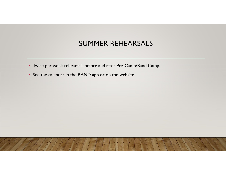#### SUMMER REHEARSALS

- Twice per week rehearsals before and after Pre-Camp/Band Camp.
- See the calendar in the BAND app or on the website.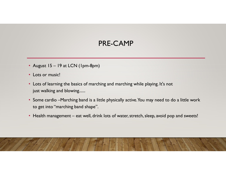# PRE-CAMP

- 
- 
- PRE-CAMP<br>• August 15 19 at LCN (1pm-8pm)<br>• Lots or music!<br>• Lots of learning the basics of marching and marching while playing. It's not
- FRE-CAMP<br>Fragust 15 19 at LCN (1pm-8pm)<br>• Lots or music!<br>• Some cardio –Marching band is a little physically active. You may need to do a little work<br>• Some cardio –Marching band is a little physically active. You may ne to get into "marching band shape". • August 15 – 19 at LCN (1pm-8pm)<br>• Lots or music!<br>• Lots of learning the basics of marching and marching while playing. It's not<br>just walking and blowing......<br>• Some cardio –Marching band is a little physically active.Yo
-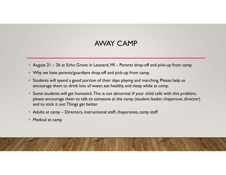#### AWAY CAMP

- 
- Why we have parents/guardians drop-off and pick-up from camp.
- August 21 26 at Echo Grove in Leonard, MI Parents drop-off and pick-up from camp<br>• Why we have parents/guardians drop-off and pick-up from camp.<br>• Students will spend a good portion of their days playing and marching • Students will spend a good portion of their days playing and marching. Please help us encourage them to drink lots of water, eat healthy, and sleep while at camp.
- Some students will get homesick. This is not abnormal. If your child calls with this problem, please encourage them to talk to someone at the camp (student leader, chaperone, director) and to stick it out. Things get better. • August 21 – 26 at Echo Grove in Leonard, MI – Parents drop-off and pick-up from<br>• Why we have parents/guardians drop-off and pick-up from camp.<br>• Students will spend a good portion of their days playing and marching. Ple
- 
-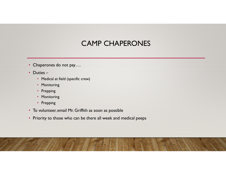#### CAMP CHAPERONES

- Chaperones do not pay….
- Duties
	- Medical at field (specific crew)
	- Monitoring
	- Prepping
	- Monitoring
	- Prepping
- To volunteer, email Mr. Griffith as soon as possible
- Priority to those who can be there all week and medical peeps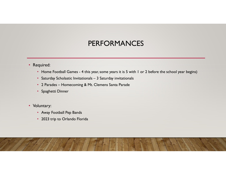#### PERFORMANCES

- Required:
- Home Football Games 4 this year, some years it is 5 with 1 or 2 before the school year begins)<br>• Saturday Scholastic Invitationals 3 Saturday invitationals<br>• 2 Parades Homecoming & Mt. Clemens Santa Parade<br>• Spaghe **• 2 PERFORMANCES**<br>• Home Football Games - 4 this year, some years it is 5 with 1 or 2 before the sche<br>• Saturday Scholastic Invitationals – 3 Saturday invitationals<br>• 2 Parades – Homecoming & Mt. Clemens Santa Parade<br>• Sp
	-
	-
	- Spaghetti Dinner
- Voluntary:
	- Away Football Pep Bands
	- 2023 trip to Orlando Florida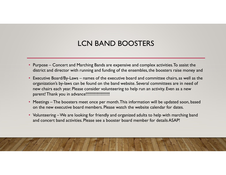### LCN BAND BOOSTERS

- **ECN BAND BOOSTERS**<br>• Purpose Concert and Marching Bands are expensive and complex activities. To assist the<br>district and director with running and funding of the ensembles, the boosters raise money and<br>• Executive Board district and director with running and funding of the ensembles, the boosters raise money and
- Purpose Concert and Marching Bands are expensive and complex activities. To assist the district and director with running and funding of the ensembles, the boosters raise money and<br>• Executive Board/By-Laws names of organization's by-laws can be found on the band website. Several committees are in need of new chairs each year. Please consider volunteering to help run an activity. Even as a new parent! Thank you in advance!!!!!!!!!!!!!!!!!!!! • Purpose – Concert and Marching Bands are expensive and complex activities. To assist the district and director with running and funding of the ensembles, the boosters raise money and<br>• Executive Board/By-Laws – names of • Purpose – Concert and Marching Bands are expensive and complex activities. To assist the district and director with running and funding of the ensembles, the boosters raise money and experimie Boordity-Laws – names of th
- on the new executive board members. Please watch the website calendar for dates.
- and concert band activities. Please see a booster board member for details ASAP!

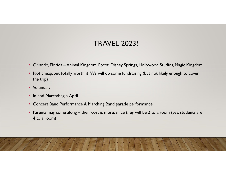# TRAVEL 2023!

- 
- Orlando, Florida Animal Kingdom, Epcot, Disney Springs, Hollywood Studios, Magic Kingdom • Not cheap, but totally worth it! We will do some fundraising (but not likely enough to cover the trip)
- Voluntary
- In end-March/begin-April
- Concert Band Performance & Marching Band parade performance
- TRAVEL 2023!<br>• Orlando, Florida Animal Kingdom, Epcot, Disney Springs, Hollywood Studios, Magic Kingdom<br>• Not cheap, but totally worth it! We will do some fundraising (but not likely enough to cover<br>• the trip)<br>• Volunta 4 to a room)

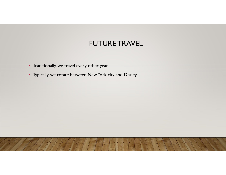#### FUTURE TRAVEL

- Traditionally, we travel every other year.
- Typically, we rotate between New York city and Disney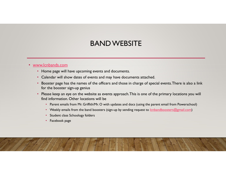#### BAND WEBSITE

#### • www.lcnbands.com

- Home page will have upcoming events and documents.
- Calendar will show dates of events and may have documents attached.
- Booster page has the names of the officers and those in charge of special events. There is also a link for the booster sign-up genius
- Please keep an eye on the website as events approach. This is one of the primary locations you will find information. Other locations will be
	- Parent emails from Mr. Griffith/Mr. O with updates and docs (using the parent email from Powerschool)
	- Weekly emails from the band boosters (sign-up by sending request to lcnbandboosters@gmail.com)
	- Student class Schoology folders
	- Facebook page